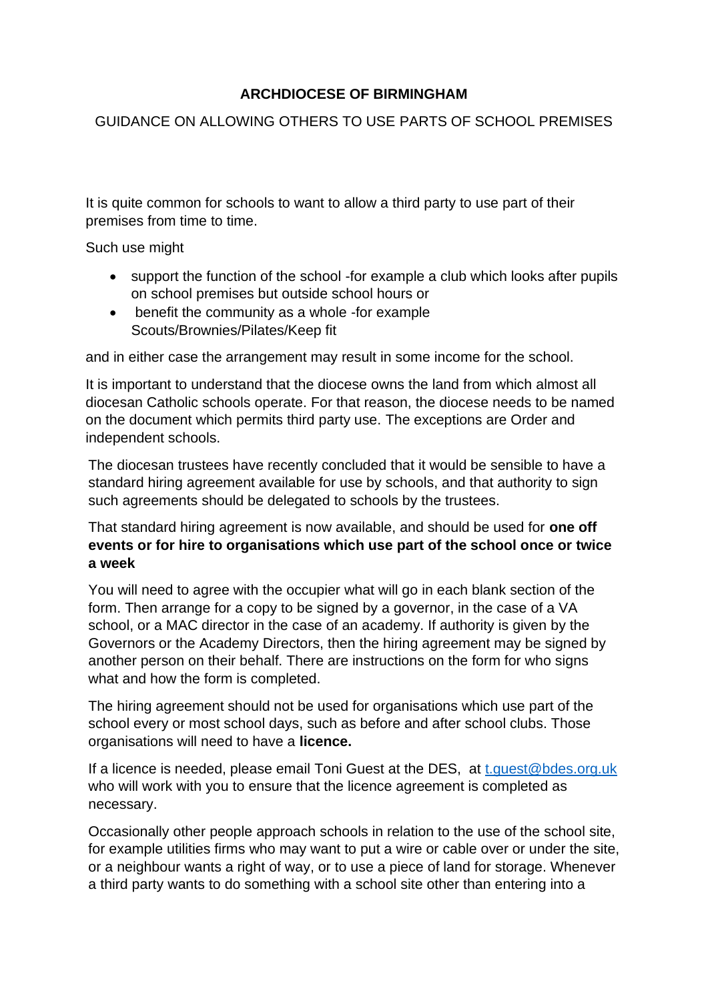## **ARCHDIOCESE OF BIRMINGHAM**

GUIDANCE ON ALLOWING OTHERS TO USE PARTS OF SCHOOL PREMISES

It is quite common for schools to want to allow a third party to use part of their premises from time to time.

Such use might

- support the function of the school -for example a club which looks after pupils on school premises but outside school hours or
- benefit the community as a whole -for example Scouts/Brownies/Pilates/Keep fit

and in either case the arrangement may result in some income for the school.

It is important to understand that the diocese owns the land from which almost all diocesan Catholic schools operate. For that reason, the diocese needs to be named on the document which permits third party use. The exceptions are Order and independent schools.

The diocesan trustees have recently concluded that it would be sensible to have a standard hiring agreement available for use by schools, and that authority to sign such agreements should be delegated to schools by the trustees.

That standard hiring agreement is now available, and should be used for **one off events or for hire to organisations which use part of the school once or twice a week**

You will need to agree with the occupier what will go in each blank section of the form. Then arrange for a copy to be signed by a governor, in the case of a VA school, or a MAC director in the case of an academy. If authority is given by the Governors or the Academy Directors, then the hiring agreement may be signed by another person on their behalf. There are instructions on the form for who signs what and how the form is completed.

The hiring agreement should not be used for organisations which use part of the school every or most school days, such as before and after school clubs. Those organisations will need to have a **licence.** 

If a licence is needed, please email Toni Guest at the DES, at [t.guest@bdes.org.uk](mailto:t.guest@bdes.org.uk) who will work with you to ensure that the licence agreement is completed as necessary.

Occasionally other people approach schools in relation to the use of the school site, for example utilities firms who may want to put a wire or cable over or under the site, or a neighbour wants a right of way, or to use a piece of land for storage. Whenever a third party wants to do something with a school site other than entering into a